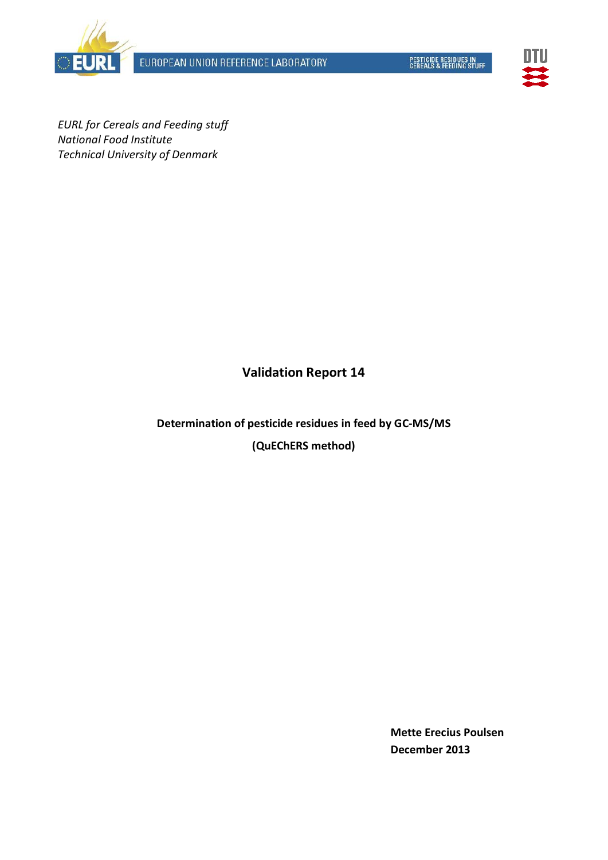EUROPEAN UNION REFERENCE LABORATORY







*EURL for Cereals and Feeding stuff National Food Institute Technical University of Denmark*

# **Validation Report 14**

**Determination of pesticide residues in feed by GC-MS/MS (QuEChERS method)**

> **Mette Erecius Poulsen December 2013**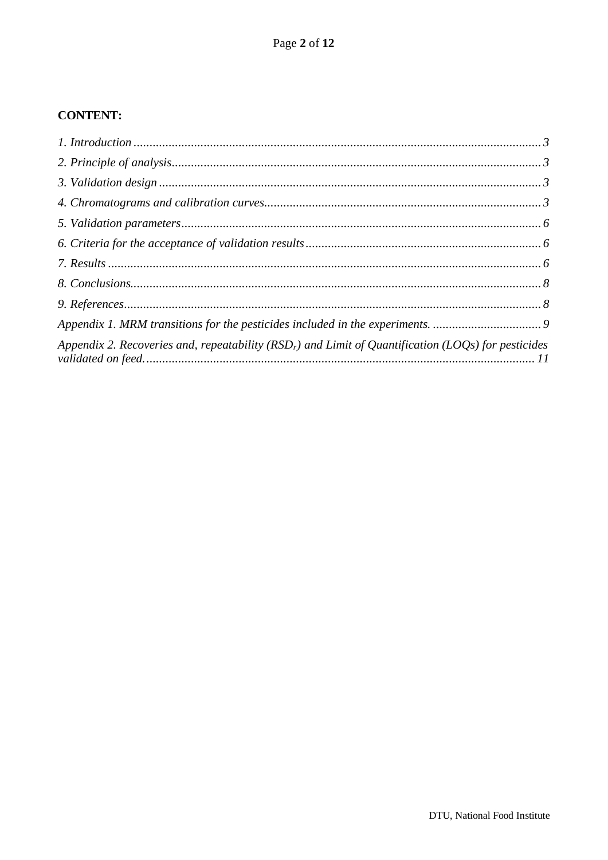### **CONTENT:**

| Appendix 1. MRM transitions for the pesticides included in the experiments.                            |  |
|--------------------------------------------------------------------------------------------------------|--|
| Appendix 2. Recoveries and, repeatability ( $RSDr$ ) and Limit of Quantification (LOQs) for pesticides |  |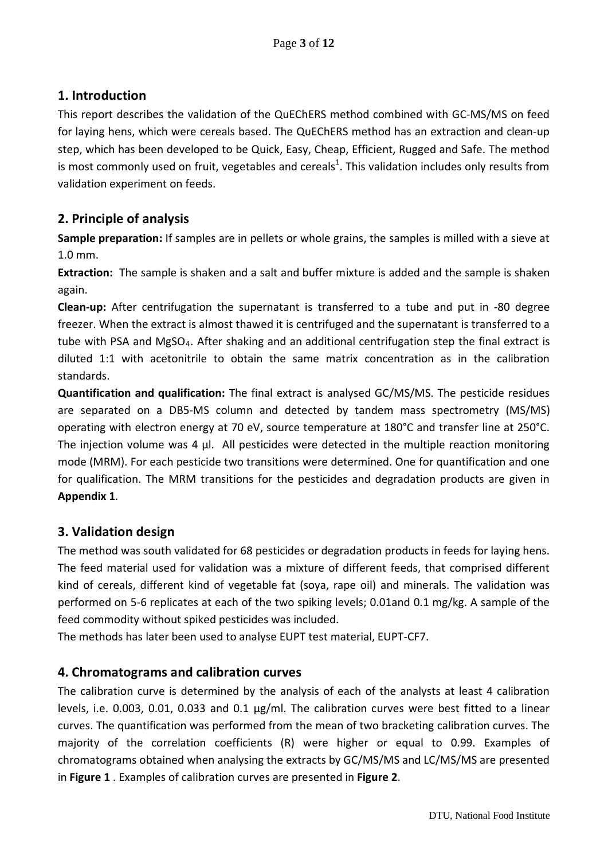# <span id="page-2-0"></span>**1. Introduction**

This report describes the validation of the QuEChERS method combined with GC-MS/MS on feed for laying hens, which were cereals based. The QuEChERS method has an extraction and clean-up step, which has been developed to be Quick, Easy, Cheap, Efficient, Rugged and Safe. The method is most commonly used on fruit, vegetables and cereals<sup>1</sup>. This validation includes only results from validation experiment on feeds.

# <span id="page-2-1"></span>**2. Principle of analysis**

**Sample preparation:** If samples are in pellets or whole grains, the samples is milled with a sieve at 1.0 mm.

**Extraction:** The sample is shaken and a salt and buffer mixture is added and the sample is shaken again.

**Clean-up:** After centrifugation the supernatant is transferred to a tube and put in -80 degree freezer. When the extract is almost thawed it is centrifuged and the supernatant is transferred to a tube with PSA and MgSO<sub>4</sub>. After shaking and an additional centrifugation step the final extract is diluted 1:1 with acetonitrile to obtain the same matrix concentration as in the calibration standards.

**Quantification and qualification:** The final extract is analysed GC/MS/MS. The pesticide residues are separated on a DB5-MS column and detected by tandem mass spectrometry (MS/MS) operating with electron energy at 70 eV, source temperature at 180°C and transfer line at 250°C. The injection volume was 4 µl. All pesticides were detected in the multiple reaction monitoring mode (MRM). For each pesticide two transitions were determined. One for quantification and one for qualification. The MRM transitions for the pesticides and degradation products are given in **Appendix 1**.

## <span id="page-2-2"></span>**3. Validation design**

The method was south validated for 68 pesticides or degradation products in feeds for laying hens. The feed material used for validation was a mixture of different feeds, that comprised different kind of cereals, different kind of vegetable fat (soya, rape oil) and minerals. The validation was performed on 5-6 replicates at each of the two spiking levels; 0.01and 0.1 mg/kg. A sample of the feed commodity without spiked pesticides was included.

The methods has later been used to analyse EUPT test material, EUPT-CF7.

## <span id="page-2-3"></span>**4. Chromatograms and calibration curves**

The calibration curve is determined by the analysis of each of the analysts at least 4 calibration levels, i.e. 0.003, 0.01, 0.033 and 0.1 µg/ml. The calibration curves were best fitted to a linear curves. The quantification was performed from the mean of two bracketing calibration curves. The majority of the correlation coefficients (R) were higher or equal to 0.99. Examples of chromatograms obtained when analysing the extracts by GC/MS/MS and LC/MS/MS are presented in **Figure 1** . Examples of calibration curves are presented in **Figure 2**.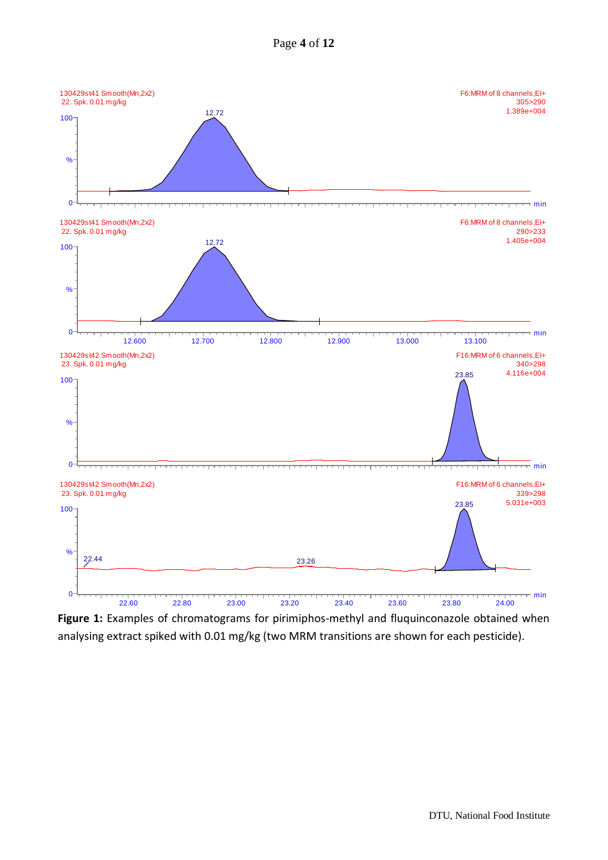



**Figure 1:** Examples of chromatograms for pirimiphos-methyl and fluquinconazole obtained when analysing extract spiked with 0.01 mg/kg (two MRM transitions are shown for each pesticide).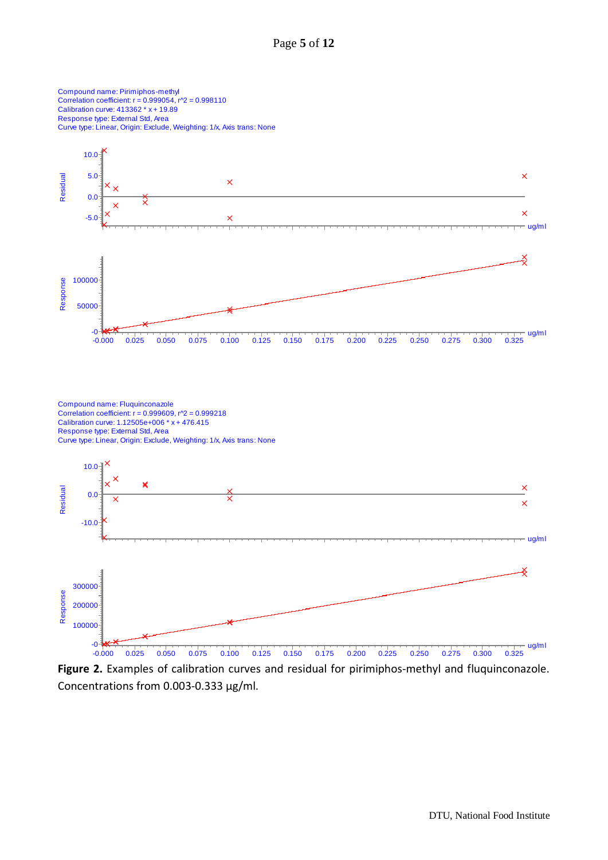Compound name: Pirimiphos-methyl Correlation coefficient:  $r = 0.999054$ ,  $r^2 = 0.998110$ Calibration curve: 413362 \* x + 19.89 Response type: External Std, Area Curve type: Linear, Origin: Exclude, Weighting: 1/x, Axis trans: None



**Figure 2.** Examples of calibration curves and residual for pirimiphos-methyl and fluquinconazole. Concentrations from 0.003-0.333 µg/ml.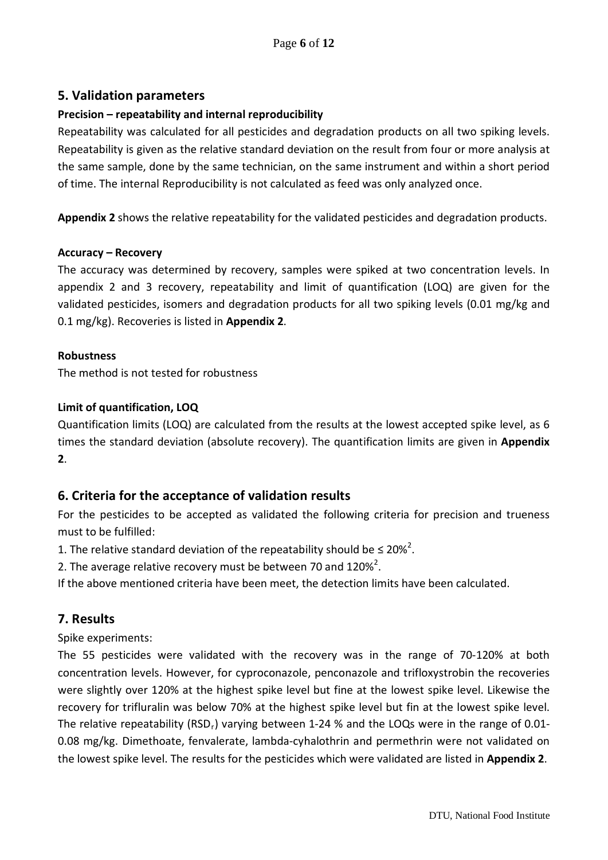### <span id="page-5-0"></span>**5. Validation parameters**

# **Precision – repeatability and internal reproducibility**

Repeatability was calculated for all pesticides and degradation products on all two spiking levels. Repeatability is given as the relative standard deviation on the result from four or more analysis at the same sample, done by the same technician, on the same instrument and within a short period of time. The internal Reproducibility is not calculated as feed was only analyzed once.

**Appendix 2** shows the relative repeatability for the validated pesticides and degradation products.

#### **Accuracy – Recovery**

The accuracy was determined by recovery, samples were spiked at two concentration levels. In appendix 2 and 3 recovery, repeatability and limit of quantification (LOQ) are given for the validated pesticides, isomers and degradation products for all two spiking levels (0.01 mg/kg and 0.1 mg/kg). Recoveries is listed in **Appendix 2**.

#### **Robustness**

The method is not tested for robustness

#### **Limit of quantification, LOQ**

Quantification limits (LOQ) are calculated from the results at the lowest accepted spike level, as 6 times the standard deviation (absolute recovery). The quantification limits are given in **Appendix 2**.

### <span id="page-5-1"></span>**6. Criteria for the acceptance of validation results**

For the pesticides to be accepted as validated the following criteria for precision and trueness must to be fulfilled:

1. The relative standard deviation of the repeatability should be  $\leq 20\%^2$ .

2. The average relative recovery must be between 70 and  $120\%^2$ .

If the above mentioned criteria have been meet, the detection limits have been calculated.

### <span id="page-5-2"></span>**7. Results**

Spike experiments:

The 55 pesticides were validated with the recovery was in the range of 70-120% at both concentration levels. However, for cyproconazole, penconazole and trifloxystrobin the recoveries were slightly over 120% at the highest spike level but fine at the lowest spike level. Likewise the recovery for trifluralin was below 70% at the highest spike level but fin at the lowest spike level. The relative repeatability (RSD<sub>r</sub>) varying between 1-24 % and the LOQs were in the range of 0.01-0.08 mg/kg. Dimethoate, fenvalerate, lambda-cyhalothrin and permethrin were not validated on the lowest spike level. The results for the pesticides which were validated are listed in **Appendix 2**.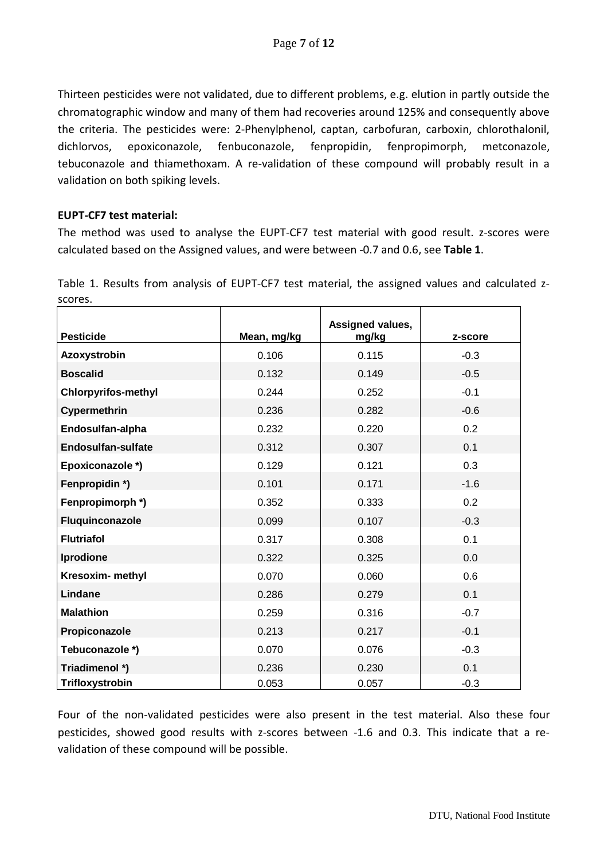Thirteen pesticides were not validated, due to different problems, e.g. elution in partly outside the chromatographic window and many of them had recoveries around 125% and consequently above the criteria. The pesticides were: 2-Phenylphenol, captan, carbofuran, carboxin, chlorothalonil, dichlorvos, epoxiconazole, fenbuconazole, fenpropidin, fenpropimorph, metconazole, tebuconazole and thiamethoxam. A re-validation of these compound will probably result in a validation on both spiking levels.

#### **EUPT-CF7 test material:**

The method was used to analyse the EUPT-CF7 test material with good result. z-scores were calculated based on the Assigned values, and were between -0.7 and 0.6, see **Table 1**.

|                            | Assigned values, |       |         |
|----------------------------|------------------|-------|---------|
| <b>Pesticide</b>           | Mean, mg/kg      | mg/kg | z-score |
| Azoxystrobin               | 0.106            | 0.115 | $-0.3$  |
| <b>Boscalid</b>            | 0.132            | 0.149 | $-0.5$  |
| <b>Chlorpyrifos-methyl</b> | 0.244            | 0.252 | $-0.1$  |
| Cypermethrin               | 0.236            | 0.282 | $-0.6$  |
| Endosulfan-alpha           | 0.232            | 0.220 | 0.2     |
| <b>Endosulfan-sulfate</b>  | 0.312            | 0.307 | 0.1     |
| Epoxiconazole *)           | 0.129            | 0.121 | 0.3     |
| Fenpropidin *)             | 0.101            | 0.171 | $-1.6$  |
| Fenpropimorph*)            | 0.352            | 0.333 | 0.2     |
| Fluquinconazole            | 0.099            | 0.107 | $-0.3$  |
| <b>Flutriafol</b>          | 0.317            | 0.308 | 0.1     |
| Iprodione                  | 0.322            | 0.325 | 0.0     |
| Kresoxim- methyl           | 0.070            | 0.060 | 0.6     |
| Lindane                    | 0.286            | 0.279 | 0.1     |
| <b>Malathion</b>           | 0.259            | 0.316 | $-0.7$  |
| Propiconazole              | 0.213            | 0.217 | $-0.1$  |
| Tebuconazole *)            | 0.070            | 0.076 | $-0.3$  |
| Triadimenol *)             | 0.236            | 0.230 | 0.1     |
| Trifloxystrobin            | 0.053            | 0.057 | $-0.3$  |

Table 1. Results from analysis of EUPT-CF7 test material, the assigned values and calculated zscores.

Four of the non-validated pesticides were also present in the test material. Also these four pesticides, showed good results with z-scores between -1.6 and 0.3. This indicate that a revalidation of these compound will be possible.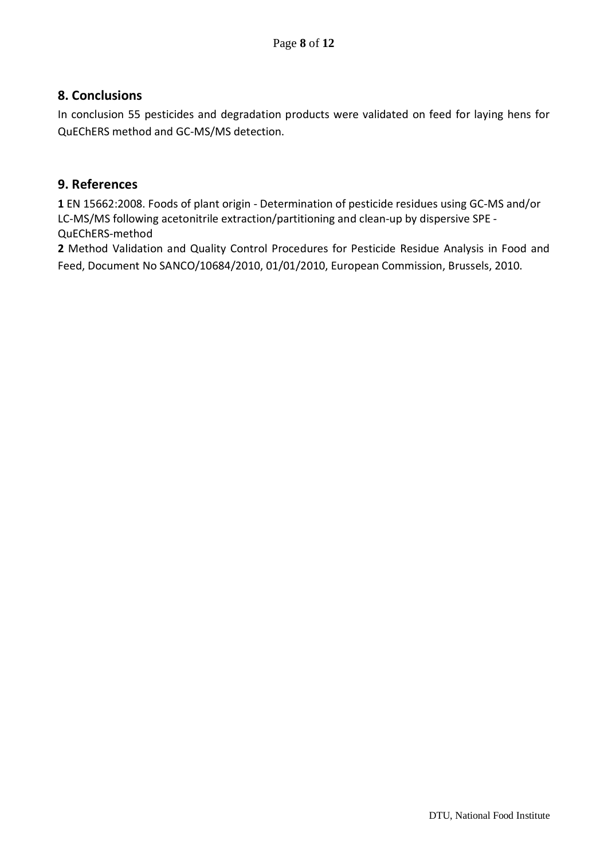### <span id="page-7-0"></span>**8. Conclusions**

In conclusion 55 pesticides and degradation products were validated on feed for laying hens for QuEChERS method and GC-MS/MS detection.

#### <span id="page-7-1"></span>**9. References**

**1** [EN 15662:2008.](javascript:__doPostBack() Foods of plant origin - Determination of pesticide residues using GC-MS and/or LC-MS/MS following acetonitrile extraction/partitioning and clean-up by dispersive SPE - QuEChERS-method

**2** Method Validation and Quality Control Procedures for Pesticide Residue Analysis in Food and Feed, Document No SANCO/10684/2010, 01/01/2010, European Commission, Brussels, 2010.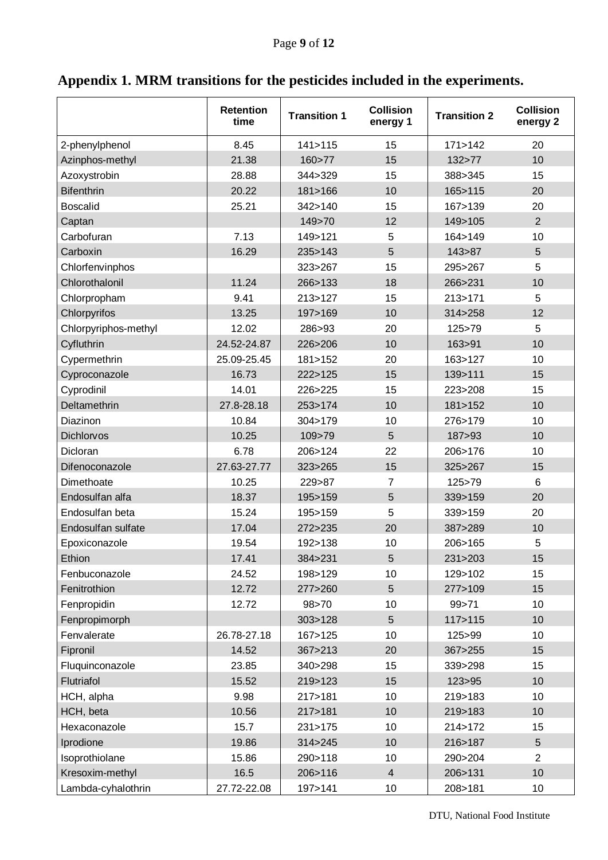<span id="page-8-0"></span>

| Appendix 1. MRM transitions for the pesticides included in the experiments. |  |  |  |  |  |  |
|-----------------------------------------------------------------------------|--|--|--|--|--|--|
|-----------------------------------------------------------------------------|--|--|--|--|--|--|

|                      | <b>Retention</b><br>time | <b>Transition 1</b> | <b>Collision</b><br>energy 1 | <b>Transition 2</b> | <b>Collision</b><br>energy 2 |
|----------------------|--------------------------|---------------------|------------------------------|---------------------|------------------------------|
| 2-phenylphenol       | 8.45                     | 141 > 115           | 15                           | 171 > 142           | 20                           |
| Azinphos-methyl      | 21.38                    | 160 > 77            | 15                           | 132>77              | 10                           |
| Azoxystrobin         | 28.88                    | 344>329             | 15                           | 388>345             | 15                           |
| <b>Bifenthrin</b>    | 20.22                    | 181>166             | 10                           | 165>115             | 20                           |
| <b>Boscalid</b>      | 25.21                    | 342>140             | 15                           | 167>139             | 20                           |
| Captan               |                          | 149>70              | 12                           | 149>105             | $\overline{2}$               |
| Carbofuran           | 7.13                     | 149>121             | 5                            | 164>149             | 10                           |
| Carboxin             | 16.29                    | 235>143             | 5                            | 143>87              | 5                            |
| Chlorfenvinphos      |                          | 323>267             | 15                           | 295>267             | 5                            |
| Chlorothalonil       | 11.24                    | 266>133             | 18                           | 266>231             | 10                           |
| Chlorpropham         | 9.41                     | 213>127             | 15                           | 213>171             | 5                            |
| Chlorpyrifos         | 13.25                    | 197>169             | 10                           | 314>258             | 12                           |
| Chlorpyriphos-methyl | 12.02                    | 286>93              | 20                           | 125>79              | 5                            |
| Cyfluthrin           | 24.52-24.87              | 226>206             | 10                           | 163>91              | 10                           |
| Cypermethrin         | 25.09-25.45              | 181 > 152           | 20                           | 163>127             | 10                           |
| Cyproconazole        | 16.73                    | 222>125             | 15                           | 139>111             | 15                           |
| Cyprodinil           | 14.01                    | 226>225             | 15                           | 223>208             | 15                           |
| Deltamethrin         | 27.8-28.18               | 253>174             | 10                           | 181>152             | 10                           |
| Diazinon             | 10.84                    | 304>179             | 10                           | 276>179             | 10                           |
| Dichlorvos           | 10.25                    | 109>79              | 5                            | 187>93              | 10                           |
| Dicloran             | 6.78                     | 206>124             | 22                           | 206>176             | 10                           |
| Difenoconazole       | 27.63-27.77              | 323>265             | 15                           | 325>267             | 15                           |
| Dimethoate           | 10.25                    | 229>87              | $\overline{7}$               | 125>79              | 6                            |
| Endosulfan alfa      | 18.37                    | 195>159             | 5                            | 339>159             | 20                           |
| Endosulfan beta      | 15.24                    | 195>159             | 5                            | 339>159             | 20                           |
| Endosulfan sulfate   | 17.04                    | 272>235             | 20                           | 387>289             | 10                           |
| Epoxiconazole        | 19.54                    | 192>138             | 10                           | 206>165             | 5                            |
| Ethion               | 17.41                    | 384>231             | 5                            | 231>203             | 15                           |
| Fenbuconazole        | 24.52                    | 198>129             | 10                           | 129>102             | 15                           |
| Fenitrothion         | 12.72                    | 277>260             | 5                            | 277>109             | 15                           |
| Fenpropidin          | 12.72                    | 98>70               | 10                           | 99>71               | 10                           |
| Fenpropimorph        |                          | 303 > 128           | 5                            | 117 > 115           | 10                           |
| Fenvalerate          | 26.78-27.18              | 167>125             | 10                           | 125>99              | 10                           |
| Fipronil             | 14.52                    | 367>213             | 20                           | 367>255             | 15                           |
| Fluquinconazole      | 23.85                    | 340>298             | 15                           | 339>298             | 15                           |
| Flutriafol           | 15.52                    | 219>123             | 15                           | 123>95              | 10                           |
| HCH, alpha           | 9.98                     | 217>181             | 10                           | 219>183             | 10                           |
| HCH, beta            | 10.56                    | 217>181             | 10                           | 219>183             | 10                           |
| Hexaconazole         | 15.7                     | 231>175             | 10                           | 214>172             | 15                           |
| Iprodione            | 19.86                    | 314 > 245           | 10                           | 216>187             | 5                            |
| Isoprothiolane       | 15.86                    | 290>118             | 10                           | 290>204             | $\overline{2}$               |
| Kresoxim-methyl      | 16.5                     | 206>116             | $\overline{4}$               | 206>131             | 10                           |
| Lambda-cyhalothrin   | 27.72-22.08              | 197>141             | 10                           | 208>181             | 10                           |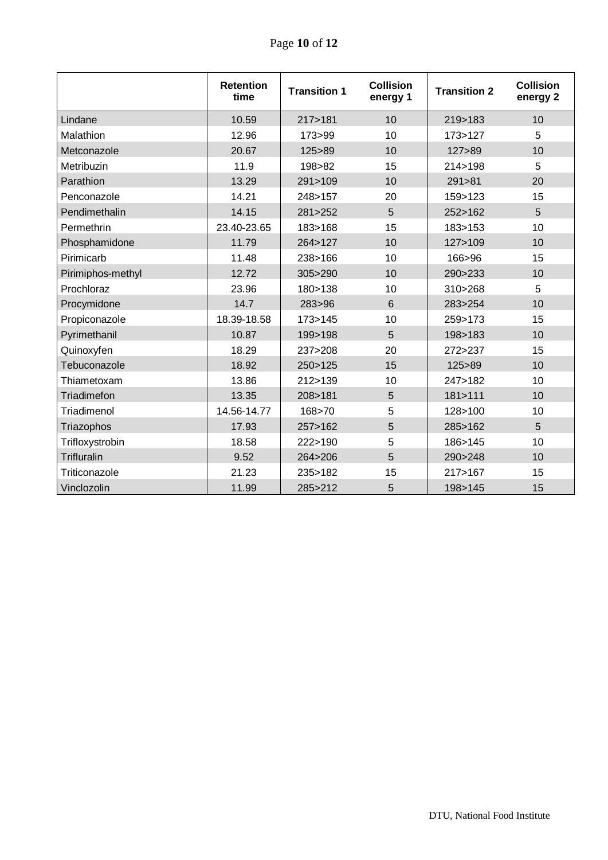|                   | <b>Retention</b><br>time | <b>Transition 1</b> | <b>Collision</b><br>energy 1 | <b>Transition 2</b> | <b>Collision</b><br>energy 2 |
|-------------------|--------------------------|---------------------|------------------------------|---------------------|------------------------------|
| Lindane           | 10.59                    | 217>181             | 10                           | 219>183             | 10                           |
| Malathion         | 12.96                    | 173>99              | 10                           | 173>127             | 5                            |
| Metconazole       | 20.67                    | 125>89              | 10                           | 127>89              | 10                           |
| Metribuzin        | 11.9                     | 198>82              | 15                           | 214 > 198           | 5                            |
| Parathion         | 13.29                    | 291>109             | 10                           | 291>81              | 20                           |
| Penconazole       | 14.21                    | 248>157             | 20                           | 159>123             | 15                           |
| Pendimethalin     | 14.15                    | 281>252             | 5                            | 252>162             | 5                            |
| Permethrin        | 23.40-23.65              | 183>168             | 15                           | 183>153             | 10                           |
| Phosphamidone     | 11.79                    | 264>127             | 10                           | 127>109             | 10                           |
| Pirimicarb        | 11.48                    | 238>166             | 10                           | 166>96              | 15                           |
| Pirimiphos-methyl | 12.72                    | 305>290             | 10                           | 290>233             | 10                           |
| Prochloraz        | 23.96                    | 180>138             | 10                           | 310>268             | 5                            |
| Procymidone       | 14.7                     | 283>96              | 6                            | 283>254             | 10                           |
| Propiconazole     | 18.39-18.58              | 173>145             | 10                           | 259>173             | 15                           |
| Pyrimethanil      | 10.87                    | 199>198             | 5                            | 198>183             | 10                           |
| Quinoxyfen        | 18.29                    | 237>208             | 20                           | 272>237             | 15                           |
| Tebuconazole      | 18.92                    | 250>125             | 15                           | 125>89              | 10                           |
| Thiametoxam       | 13.86                    | 212>139             | 10                           | 247>182             | 10                           |
| Triadimefon       | 13.35                    | 208>181             | $\overline{5}$               | 181>111             | 10                           |
| Triadimenol       | 14.56-14.77              | 168>70              | 5                            | 128>100             | 10                           |
| Triazophos        | 17.93                    | 257>162             | 5                            | 285>162             | 5                            |
| Trifloxystrobin   | 18.58                    | 222>190             | 5                            | 186>145             | 10                           |
| Trifluralin       | 9.52                     | 264>206             | 5                            | 290>248             | 10                           |
| Triticonazole     | 21.23                    | 235>182             | 15                           | 217>167             | 15                           |
| Vinclozolin       | 11.99                    | 285>212             | $\overline{5}$               | 198>145             | 15                           |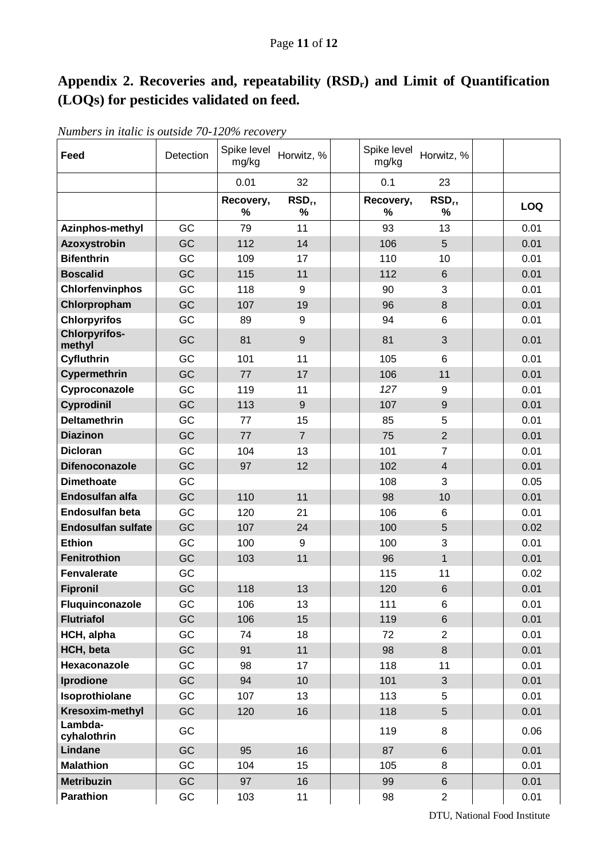# <span id="page-10-0"></span>Appendix 2. Recoveries and, repeatability  $(RSD_r)$  and Limit of Quantification **(LOQs) for pesticides validated on feed.**

| Feed                           | Detection | Spike level<br>mg/kg | Horwitz, %     | Spike level<br>mg/kg | Horwitz, %              |            |
|--------------------------------|-----------|----------------------|----------------|----------------------|-------------------------|------------|
|                                |           | 0.01                 | 32             | 0.1                  | 23                      |            |
|                                |           | Recovery,<br>%       | $RSDr$ ,<br>%  | Recovery,<br>%       | RSD <sub>r</sub> ,<br>% | <b>LOQ</b> |
| Azinphos-methyl                | GC        | 79                   | 11             | 93                   | 13                      | 0.01       |
| Azoxystrobin                   | GC        | 112                  | 14             | 106                  | 5                       | 0.01       |
| <b>Bifenthrin</b>              | GC        | 109                  | 17             | 110                  | 10                      | 0.01       |
| <b>Boscalid</b>                | GC        | 115                  | 11             | 112                  | $6\phantom{1}$          | 0.01       |
| Chlorfenvinphos                | GC        | 118                  | 9              | 90                   | 3                       | 0.01       |
| Chlorpropham                   | GC        | 107                  | 19             | 96                   | 8                       | 0.01       |
| <b>Chlorpyrifos</b>            | GC        | 89                   | 9              | 94                   | 6                       | 0.01       |
| <b>Chlorpyrifos-</b><br>methyl | GC        | 81                   | $9\,$          | 81                   | 3                       | 0.01       |
| Cyfluthrin                     | GC        | 101                  | 11             | 105                  | 6                       | 0.01       |
| Cypermethrin                   | GC        | 77                   | 17             | 106                  | 11                      | 0.01       |
| Cyproconazole                  | GC        | 119                  | 11             | 127                  | 9                       | 0.01       |
| Cyprodinil                     | GC        | 113                  | 9              | 107                  | 9                       | 0.01       |
| <b>Deltamethrin</b>            | GC        | 77                   | 15             | 85                   | 5                       | 0.01       |
| <b>Diazinon</b>                | GC        | 77                   | $\overline{7}$ | 75                   | $\overline{2}$          | 0.01       |
| <b>Dicloran</b>                | GC        | 104                  | 13             | 101                  | $\overline{7}$          | 0.01       |
| <b>Difenoconazole</b>          | GC        | 97                   | 12             | 102                  | $\overline{4}$          | 0.01       |
| <b>Dimethoate</b>              | GC        |                      |                | 108                  | 3                       | 0.05       |
| Endosulfan alfa                | GC        | 110                  | 11             | 98                   | 10                      | 0.01       |
| <b>Endosulfan beta</b>         | GC        | 120                  | 21             | 106                  | 6                       | 0.01       |
| <b>Endosulfan sulfate</b>      | GC        | 107                  | 24             | 100                  | 5                       | 0.02       |
| <b>Ethion</b>                  | GC        | 100                  | 9              | 100                  | 3                       | 0.01       |
| Fenitrothion                   | GC        | 103                  | 11             | 96                   | $\mathbf{1}$            | 0.01       |
| Fenvalerate                    | GC        |                      |                | 115                  | 11                      | 0.02       |
| <b>Fipronil</b>                | GC        | 118                  | 13             | 120                  | 6                       | 0.01       |
| Fluquinconazole                | GC        | 106                  | 13             | 111                  | 6                       | 0.01       |
| <b>Flutriafol</b>              | GC        | 106                  | 15             | 119                  | $6\phantom{a}$          | 0.01       |
| HCH, alpha                     | GC        | 74                   | 18             | 72                   | $\overline{2}$          | 0.01       |
| HCH, beta                      | GC        | 91                   | 11             | 98                   | 8                       | 0.01       |
| Hexaconazole                   | GC        | 98                   | 17             | 118                  | 11                      | 0.01       |
| Iprodione                      | GC        | 94                   | 10             | 101                  | 3                       | 0.01       |
| Isoprothiolane                 | GC        | 107                  | 13             | 113                  | 5                       | 0.01       |
| Kresoxim-methyl<br>Lambda-     | GC        | 120                  | 16             | 118                  | 5                       | 0.01       |
| cyhalothrin                    | GC        |                      |                | 119                  | 8                       | 0.06       |
| Lindane                        | GC        | 95                   | 16             | 87                   | $6\phantom{.}$          | 0.01       |
| <b>Malathion</b>               | GC        | 104                  | 15             | 105                  | 8                       | 0.01       |
| <b>Metribuzin</b>              | GC        | 97                   | 16             | 99                   | $6\phantom{.}$          | 0.01       |
| <b>Parathion</b>               | GC        | 103                  | 11             | 98                   | $\overline{2}$          | 0.01       |

*Numbers in italic is outside 70-120% recovery*

DTU, National Food Institute